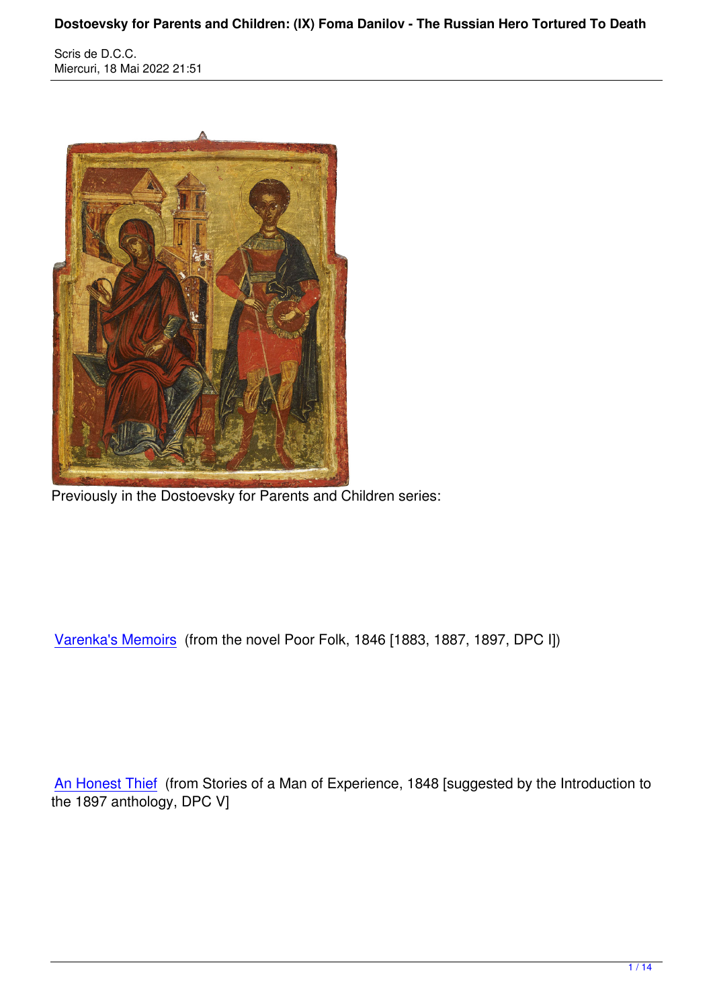

Previously in the Dostoevsky for Parents and Children series:

Varenka's Memoirs (from the novel Poor Folk, 1846 [1883, 1887, 1897, DPC I])

An Honest Thief (from Stories of a Man of Experience, 1848 [suggested by the Introduction to the 1897 anthology, DPC V]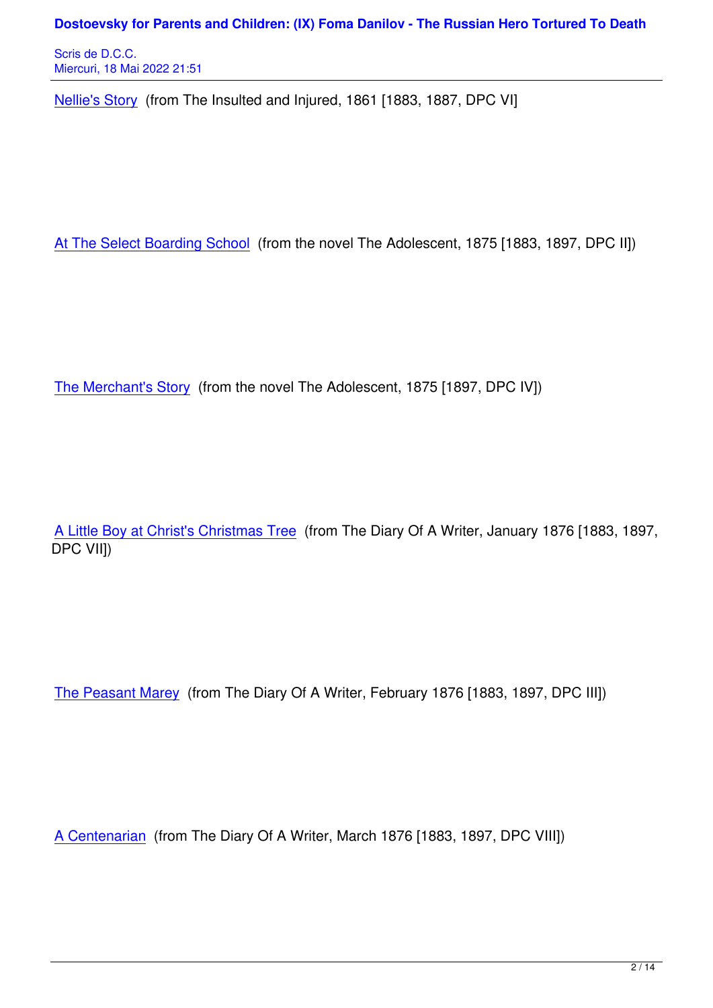Nellie's Story (from The Insulted and Injured, 1861 [1883, 1887, DPC VI]

At The Select Boarding School (from the novel The Adolescent, 1875 [1883, 1897, DPC II])

The Merchant's Story (from the novel The Adolescent, 1875 [1897, DPC IV])

A Little Boy at Christ's Christmas Tree (from The Diary Of A Writer, January 1876 [1883, 1897, DPC VII])

The Peasant Marey (from The Diary Of A Writer, February 1876 [1883, 1897, DPC III])

A Centenarian (from The Diary Of A Writer, March 1876 [1883, 1897, DPC VIII])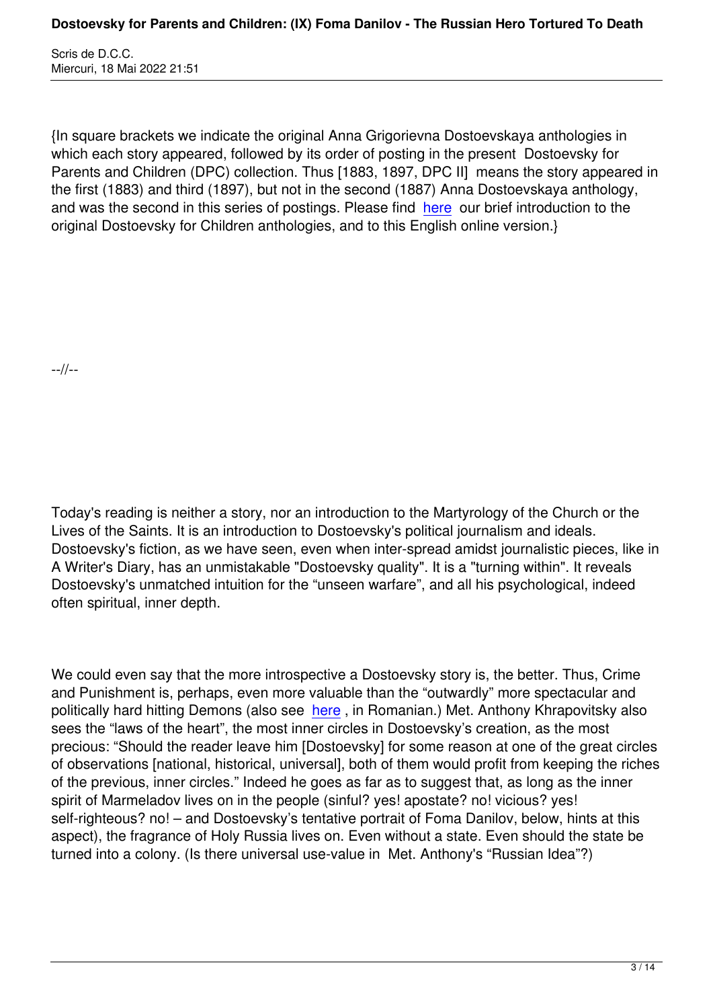{In square brackets we indicate the original Anna Grigorievna Dostoevskaya anthologies in which each story appeared, followed by its order of posting in the present Dostoevsky for Parents and Children (DPC) collection. Thus [1883, 1897, DPC II] means the story appeared in the first (1883) and third (1897), but not in the second (1887) Anna Dostoevskaya anthology, and was the second in this series of postings. Please find here our brief introduction to the original Dostoevsky for Children anthologies, and to this English online version.}

--//--

Today's reading is neither a story, nor an introduction to the Martyrology of the Church or the Lives of the Saints. It is an introduction to Dostoevsky's political journalism and ideals. Dostoevsky's fiction, as we have seen, even when inter-spread amidst journalistic pieces, like in A Writer's Diary, has an unmistakable "Dostoevsky quality". It is a "turning within". It reveals Dostoevsky's unmatched intuition for the "unseen warfare", and all his psychological, indeed often spiritual, inner depth.

We could even say that the more introspective a Dostoevsky story is, the better. Thus, Crime and Punishment is, perhaps, even more valuable than the "outwardly" more spectacular and politically hard hitting Demons (also see here, in Romanian.) Met. Anthony Khrapovitsky also sees the "laws of the heart", the most inner circles in Dostoevsky's creation, as the most precious: "Should the reader leave him [Dostoevsky] for some reason at one of the great circles of observations [national, historical, univ[ersal\],](index.php/ce-citim/708-bicentenar-dostoievski-intoarcerea-spre-interior.html) both of them would profit from keeping the riches of the previous, inner circles." Indeed he goes as far as to suggest that, as long as the inner spirit of Marmeladov lives on in the people (sinful? yes! apostate? no! vicious? yes! self-righteous? no! – and Dostoevsky's tentative portrait of Foma Danilov, below, hints at this aspect), the fragrance of Holy Russia lives on. Even without a state. Even should the state be turned into a colony. (Is there universal use-value in Met. Anthony's "Russian Idea"?)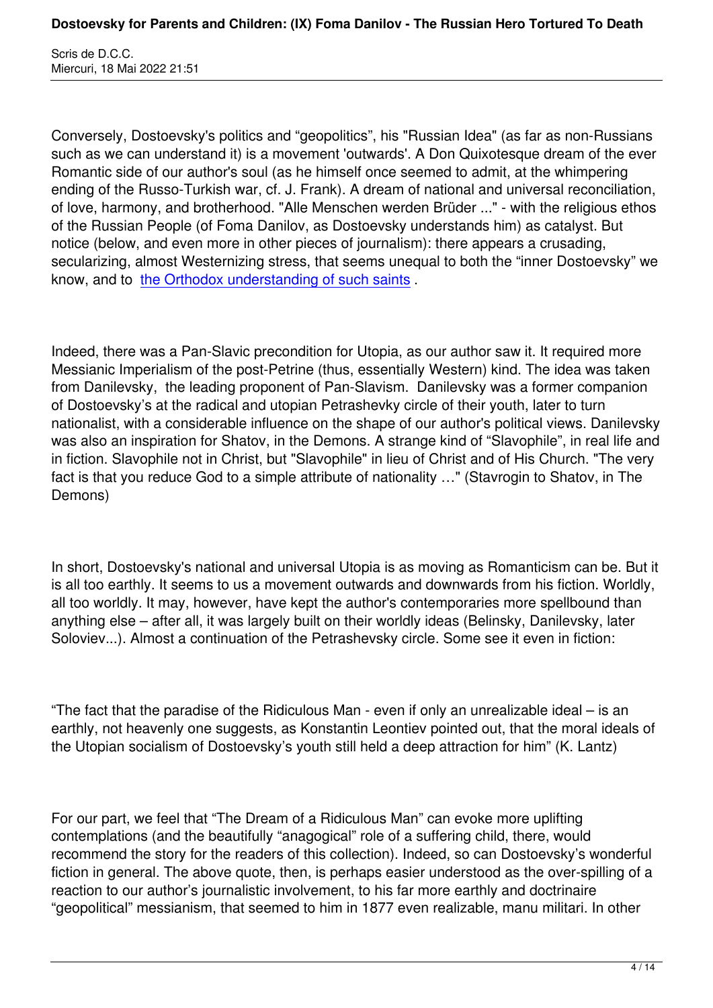Conversely, Dostoevsky's politics and "geopolitics", his "Russian Idea" (as far as non-Russians such as we can understand it) is a movement 'outwards'. A Don Quixotesque dream of the ever Romantic side of our author's soul (as he himself once seemed to admit, at the whimpering ending of the Russo-Turkish war, cf. J. Frank). A dream of national and universal reconciliation, of love, harmony, and brotherhood. "Alle Menschen werden Brüder ..." - with the religious ethos of the Russian People (of Foma Danilov, as Dostoevsky understands him) as catalyst. But notice (below, and even more in other pieces of journalism): there appears a crusading, secularizing, almost Westernizing stress, that seems unequal to both the "inner Dostoevsky" we know, and to the Orthodox understanding of such saints .

Indeed, there [was a Pan-Slavic precondition for Utopia, a](index.php/religie/725-kontoglou-on-understanding-the-military-saints.html)s our author saw it. It required more Messianic Imperialism of the post-Petrine (thus, essentially Western) kind. The idea was taken from Danilevsky, the leading proponent of Pan-Slavism. Danilevsky was a former companion of Dostoevsky's at the radical and utopian Petrashevky circle of their youth, later to turn nationalist, with a considerable influence on the shape of our author's political views. Danilevsky was also an inspiration for Shatov, in the Demons. A strange kind of "Slavophile", in real life and in fiction. Slavophile not in Christ, but "Slavophile" in lieu of Christ and of His Church. "The very fact is that you reduce God to a simple attribute of nationality …" (Stavrogin to Shatov, in The Demons)

In short, Dostoevsky's national and universal Utopia is as moving as Romanticism can be. But it is all too earthly. It seems to us a movement outwards and downwards from his fiction. Worldly, all too worldly. It may, however, have kept the author's contemporaries more spellbound than anything else – after all, it was largely built on their worldly ideas (Belinsky, Danilevsky, later Soloviev...). Almost a continuation of the Petrashevsky circle. Some see it even in fiction:

"The fact that the paradise of the Ridiculous Man - even if only an unrealizable ideal – is an earthly, not heavenly one suggests, as Konstantin Leontiev pointed out, that the moral ideals of the Utopian socialism of Dostoevsky's youth still held a deep attraction for him" (K. Lantz)

For our part, we feel that "The Dream of a Ridiculous Man" can evoke more uplifting contemplations (and the beautifully "anagogical" role of a suffering child, there, would recommend the story for the readers of this collection). Indeed, so can Dostoevsky's wonderful fiction in general. The above quote, then, is perhaps easier understood as the over-spilling of a reaction to our author's journalistic involvement, to his far more earthly and doctrinaire "geopolitical" messianism, that seemed to him in 1877 even realizable, manu militari. In other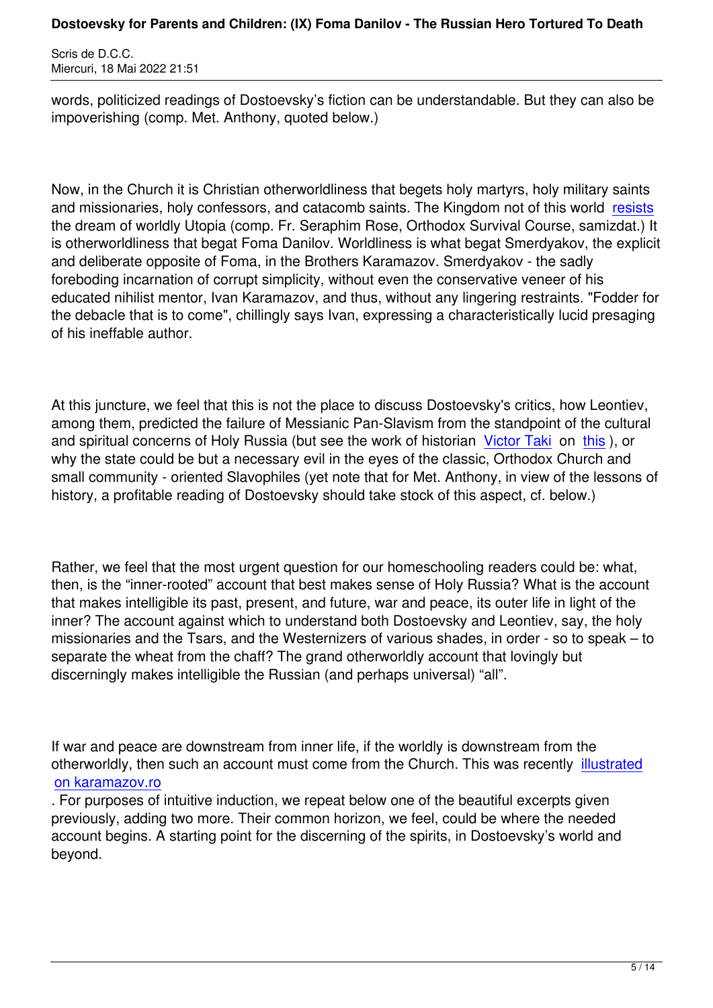words, politicized readings of Dostoevsky's fiction can be understandable. But they can also be impoverishing (comp. Met. Anthony, quoted below.)

Now, in the Church it is Christian otherworldliness that begets holy martyrs, holy military saints and missionaries, holy confessors, and catacomb saints. The Kingdom not of this world resists the dream of worldly Utopia (comp. Fr. Seraphim Rose, Orthodox Survival Course, samizdat.) It is otherworldliness that begat Foma Danilov. Worldliness is what begat Smerdyakov, the explicit and deliberate opposite of Foma, in the Brothers Karamazov. Smerdyakov - the sadly foreboding incarnation of corrupt simplicity, without even the conservative veneer of his educated nihilist mentor, Ivan Karamazov, and thus, without any lingering restraints. "Fodder for the debacle that is to come", chillingly says Ivan, expressing a characteristically lucid presaging of his ineffable author.

At this juncture, we feel that this is not the place to discuss Dostoevsky's critics, how Leontiev, among them, predicted the failure of Messianic Pan-Slavism from the standpoint of the cultural and spiritual concerns of Holy Russia (but see the work of historian Victor Taki on this), or why the state could be but a necessary evil in the eyes of the classic, Orthodox Church and small community - oriented Slavophiles (yet note that for Met. Anthony, in view of the lessons of history, a profitable reading of Dostoevsky should take stock of this [aspect, cf. b](https://concordia-ab.academia.edu/VictorTaki)elo[w.\)](https://www.academia.edu/14407483/Konstantin_Leontiev_and_the_Social_Critique_of_Tanzimat_Turkey)

Rather, we feel that the most urgent question for our homeschooling readers could be: what, then, is the "inner-rooted" account that best makes sense of Holy Russia? What is the account that makes intelligible its past, present, and future, war and peace, its outer life in light of the inner? The account against which to understand both Dostoevsky and Leontiev, say, the holy missionaries and the Tsars, and the Westernizers of various shades, in order - so to speak – to separate the wheat from the chaff? The grand otherworldly account that lovingly but discerningly makes intelligible the Russian (and perhaps universal) "all".

If war and peace are downstream from inner life, if the worldly is downstream from the otherworldly, then such an account must come from the Church. This was recently illustrated on karamazov.ro

. For purposes of intuitive induction, we repeat below one of the beautiful excerpts given previously, adding two more. Their common horizon, we feel, could be where the n[eeded](index.php/religie/725-kontoglou-on-understanding-the-military-saints.html) [account begins. A](index.php/religie/725-kontoglou-on-understanding-the-military-saints.html) starting point for the discerning of the spirits, in Dostoevsky's world and beyond.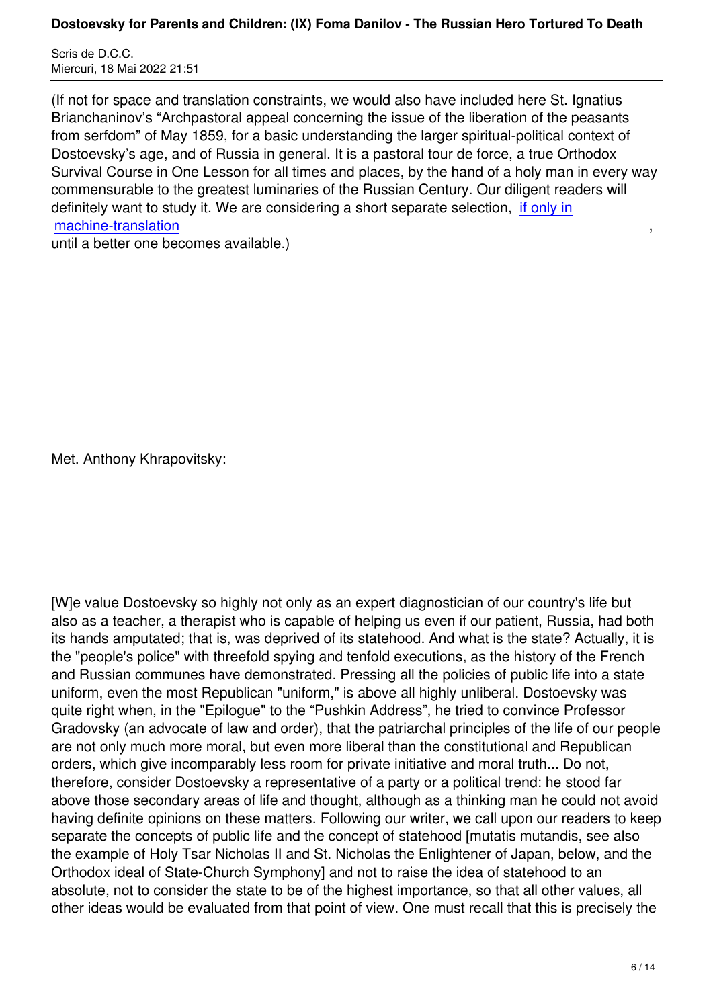(If not for space and translation constraints, we would also have included here St. Ignatius Brianchaninov's "Archpastoral appeal concerning the issue of the liberation of the peasants from serfdom" of May 1859, for a basic understanding the larger spiritual-political context of Dostoevsky's age, and of Russia in general. It is a pastoral tour de force, a true Orthodox Survival Course in One Lesson for all times and places, by the hand of a holy man in every way commensurable to the greatest luminaries of the Russian Century. Our diligent readers will definitely want to study it. We are considering a short separate selection, if only in machine-translation ,

until a better one becomes available.)

Met. Anthony Khrapovitsky:

[W]e value Dostoevsky so highly not only as an expert diagnostician of our country's life but also as a teacher, a therapist who is capable of helping us even if our patient, Russia, had both its hands amputated; that is, was deprived of its statehood. And what is the state? Actually, it is the "people's police" with threefold spying and tenfold executions, as the history of the French and Russian communes have demonstrated. Pressing all the policies of public life into a state uniform, even the most Republican "uniform," is above all highly unliberal. Dostoevsky was quite right when, in the "Epilogue" to the "Pushkin Address", he tried to convince Professor Gradovsky (an advocate of law and order), that the patriarchal principles of the life of our people are not only much more moral, but even more liberal than the constitutional and Republican orders, which give incomparably less room for private initiative and moral truth... Do not, therefore, consider Dostoevsky a representative of a party or a political trend: he stood far above those secondary areas of life and thought, although as a thinking man he could not avoid having definite opinions on these matters. Following our writer, we call upon our readers to keep separate the concepts of public life and the concept of statehood [mutatis mutandis, see also the example of Holy Tsar Nicholas II and St. Nicholas the Enlightener of Japan, below, and the Orthodox ideal of State-Church Symphony] and not to raise the idea of statehood to an absolute, not to consider the state to be of the highest importance, so that all other values, all other ideas would be evaluated from that point of view. One must recall that this is precisely the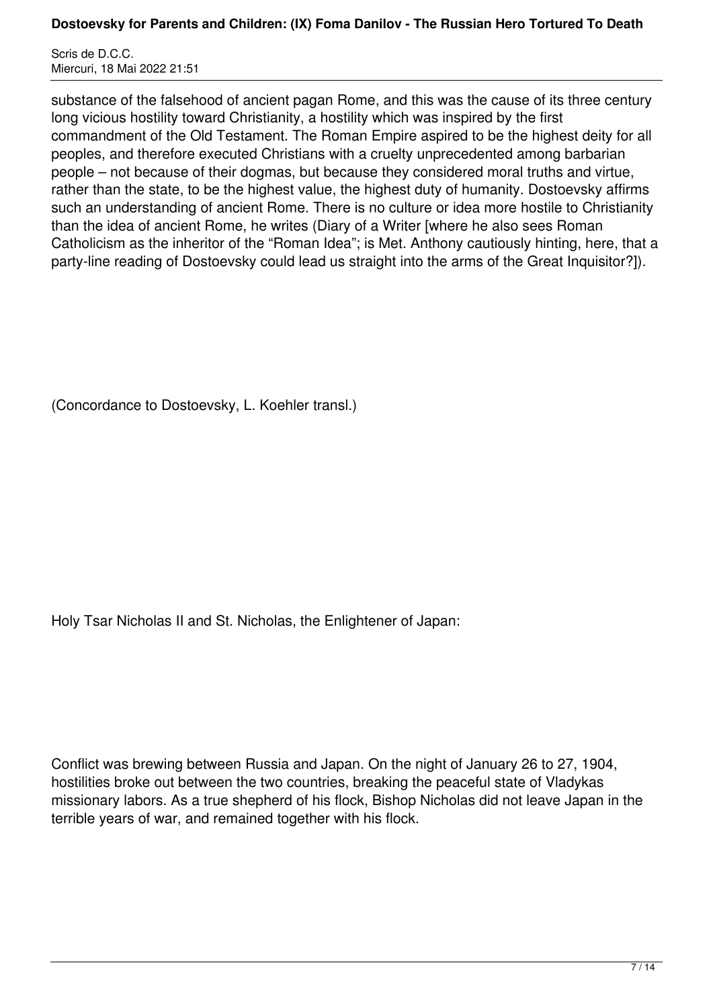Scris de D.C.C. Miercuri, 18 Mai 2022 21:51

substance of the falsehood of ancient pagan Rome, and this was the cause of its three century long vicious hostility toward Christianity, a hostility which was inspired by the first commandment of the Old Testament. The Roman Empire aspired to be the highest deity for all peoples, and therefore executed Christians with a cruelty unprecedented among barbarian people – not because of their dogmas, but because they considered moral truths and virtue, rather than the state, to be the highest value, the highest duty of humanity. Dostoevsky affirms such an understanding of ancient Rome. There is no culture or idea more hostile to Christianity than the idea of ancient Rome, he writes (Diary of a Writer [where he also sees Roman Catholicism as the inheritor of the "Roman Idea"; is Met. Anthony cautiously hinting, here, that a party-line reading of Dostoevsky could lead us straight into the arms of the Great Inquisitor?]).

(Concordance to Dostoevsky, L. Koehler transl.)

Holy Tsar Nicholas II and St. Nicholas, the Enlightener of Japan:

Conflict was brewing between Russia and Japan. On the night of January 26 to 27, 1904, hostilities broke out between the two countries, breaking the peaceful state of Vladykas missionary labors. As a true shepherd of his flock, Bishop Nicholas did not leave Japan in the terrible years of war, and remained together with his flock.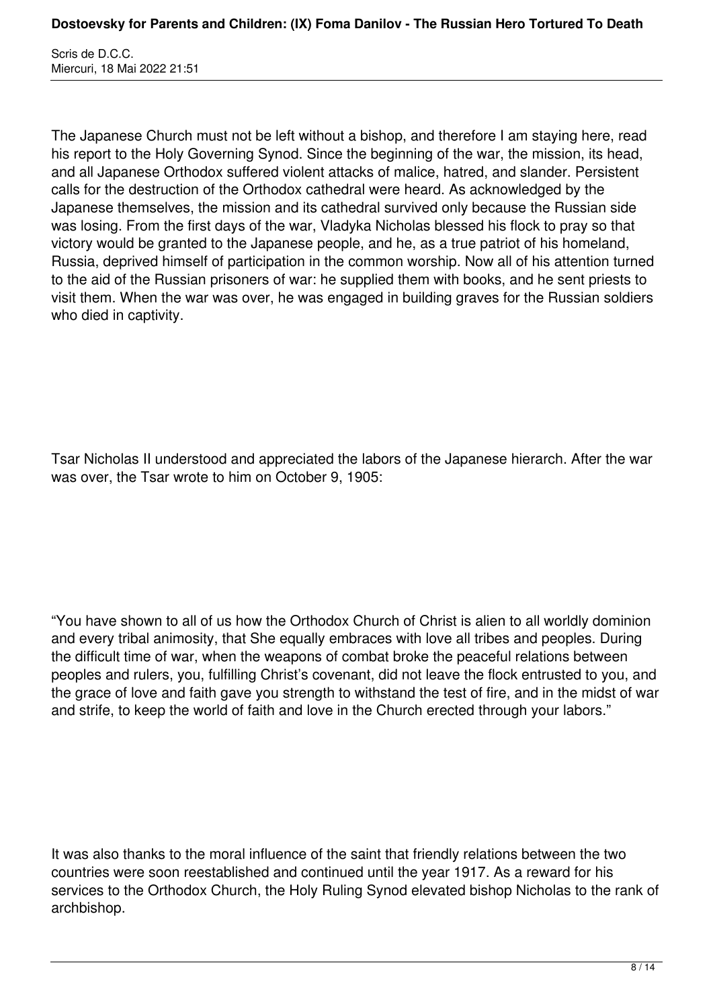Scris de D.C.C. Miercuri, 18 Mai 2022 21:51

The Japanese Church must not be left without a bishop, and therefore I am staying here, read his report to the Holy Governing Synod. Since the beginning of the war, the mission, its head, and all Japanese Orthodox suffered violent attacks of malice, hatred, and slander. Persistent calls for the destruction of the Orthodox cathedral were heard. As acknowledged by the Japanese themselves, the mission and its cathedral survived only because the Russian side was losing. From the first days of the war, Vladyka Nicholas blessed his flock to pray so that victory would be granted to the Japanese people, and he, as a true patriot of his homeland, Russia, deprived himself of participation in the common worship. Now all of his attention turned to the aid of the Russian prisoners of war: he supplied them with books, and he sent priests to visit them. When the war was over, he was engaged in building graves for the Russian soldiers who died in captivity.

Tsar Nicholas II understood and appreciated the labors of the Japanese hierarch. After the war was over, the Tsar wrote to him on October 9, 1905:

"You have shown to all of us how the Orthodox Church of Christ is alien to all worldly dominion and every tribal animosity, that She equally embraces with love all tribes and peoples. During the difficult time of war, when the weapons of combat broke the peaceful relations between peoples and rulers, you, fulfilling Christ's covenant, did not leave the flock entrusted to you, and the grace of love and faith gave you strength to withstand the test of fire, and in the midst of war and strife, to keep the world of faith and love in the Church erected through your labors."

It was also thanks to the moral influence of the saint that friendly relations between the two countries were soon reestablished and continued until the year 1917. As a reward for his services to the Orthodox Church, the Holy Ruling Synod elevated bishop Nicholas to the rank of archbishop.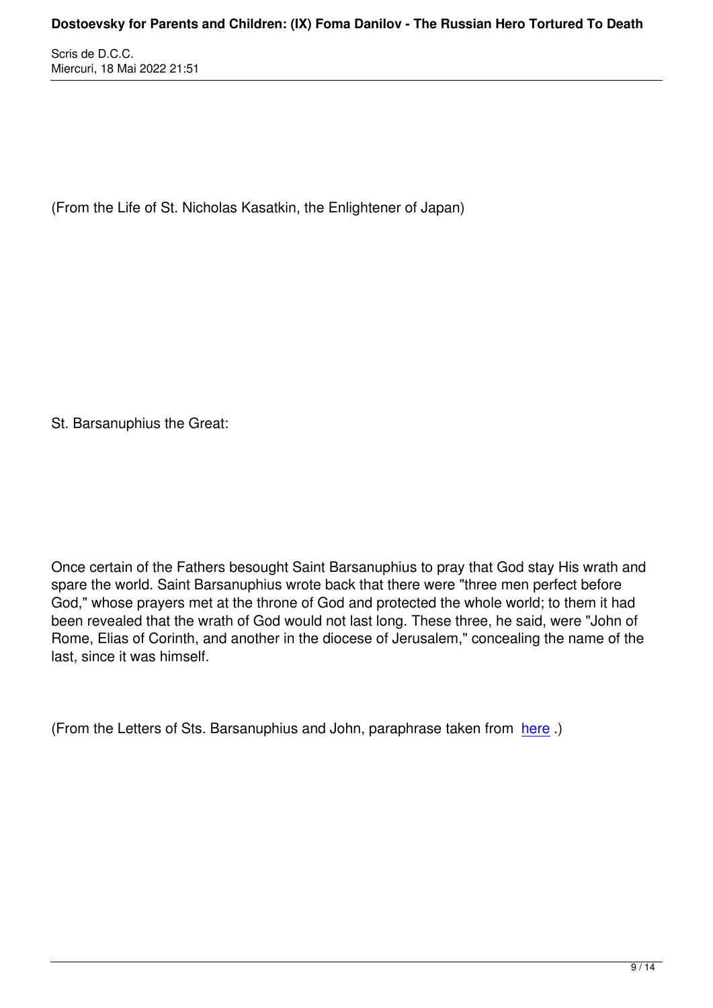(From the Life of St. Nicholas Kasatkin, the Enlightener of Japan)

St. Barsanuphius the Great:

Once certain of the Fathers besought Saint Barsanuphius to pray that God stay His wrath and spare the world. Saint Barsanuphius wrote back that there were "three men perfect before God," whose prayers met at the throne of God and protected the whole world; to them it had been revealed that the wrath of God would not last long. These three, he said, were "John of Rome, Elias of Corinth, and another in the diocese of Jerusalem," concealing the name of the last, since it was himself.

(From the Letters of Sts. Barsanuphius and John, paraphrase taken from here .)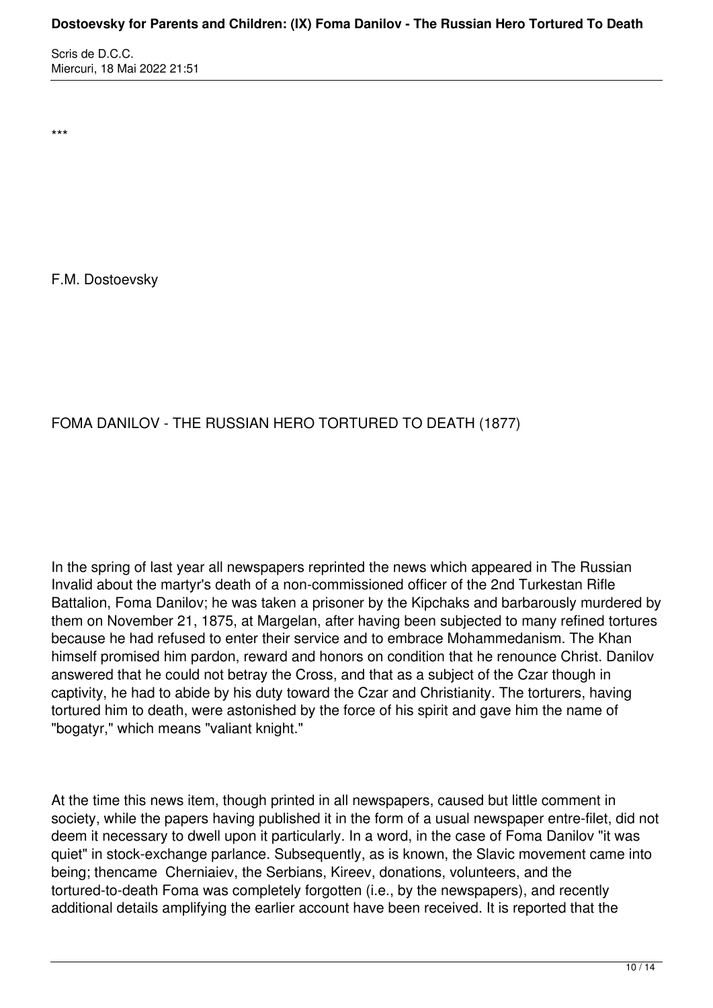Scris de D.C.C. Miercuri, 18 Mai 2022 21:51

\*\*\*

F.M. Dostoevsky

# FOMA DANILOV - THE RUSSIAN HERO TORTURED TO DEATH (1877)

In the spring of last year all newspapers reprinted the news which appeared in The Russian Invalid about the martyr's death of a non-commissioned officer of the 2nd Turkestan Rifle Battalion, Foma Danilov; he was taken a prisoner by the Kipchaks and barbarously murdered by them on November 21, 1875, at Margelan, after having been subjected to many refined tortures because he had refused to enter their service and to embrace Mohammedanism. The Khan himself promised him pardon, reward and honors on condition that he renounce Christ. Danilov answered that he could not betray the Cross, and that as a subject of the Czar though in captivity, he had to abide by his duty toward the Czar and Christianity. The torturers, having tortured him to death, were astonished by the force of his spirit and gave him the name of "bogatyr," which means "valiant knight."

At the time this news item, though printed in all newspapers, caused but little comment in society, while the papers having published it in the form of a usual newspaper entre-filet, did not deem it necessary to dwell upon it particularly. In a word, in the case of Foma Danilov "it was quiet" in stock-exchange parlance. Subsequently, as is known, the Slavic movement came into being; thencame Cherniaiev, the Serbians, Kireev, donations, volunteers, and the tortured-to-death Foma was completely forgotten (i.e., by the newspapers), and recently additional details amplifying the earlier account have been received. It is reported that the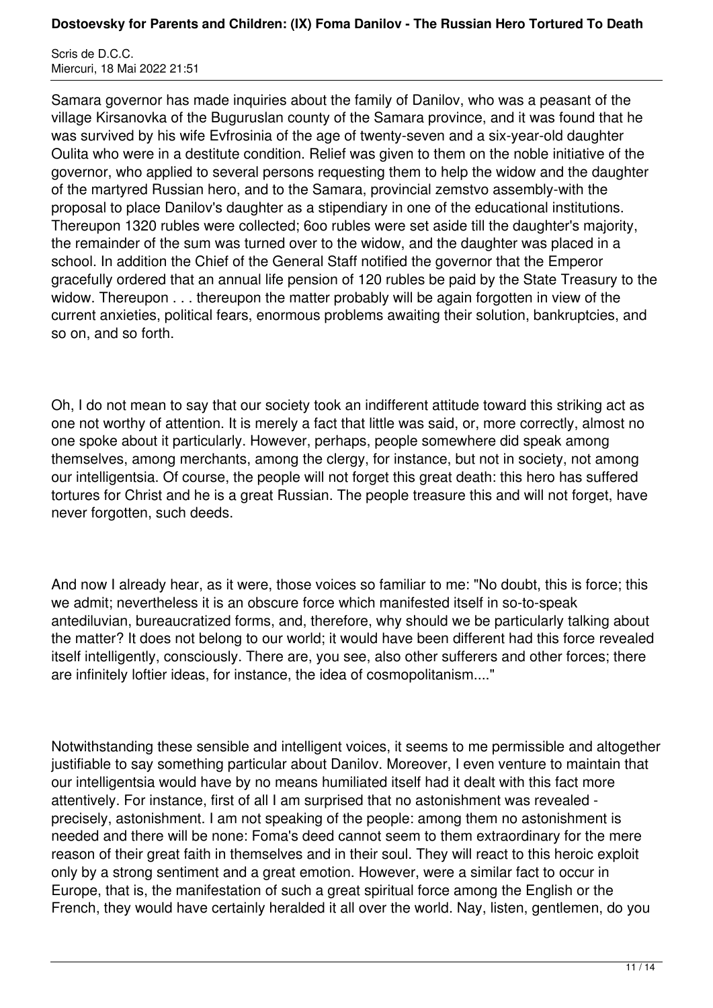Scris de D.C.C. Miercuri, 18 Mai 2022 21:51

Samara governor has made inquiries about the family of Danilov, who was a peasant of the village Kirsanovka of the Buguruslan county of the Samara province, and it was found that he was survived by his wife Evfrosinia of the age of twenty-seven and a six-year-old daughter Oulita who were in a destitute condition. Relief was given to them on the noble initiative of the governor, who applied to several persons requesting them to help the widow and the daughter of the martyred Russian hero, and to the Samara, provincial zemstvo assembly-with the proposal to place Danilov's daughter as a stipendiary in one of the educational institutions. Thereupon 1320 rubles were collected; 6oo rubles were set aside till the daughter's majority, the remainder of the sum was turned over to the widow, and the daughter was placed in a school. In addition the Chief of the General Staff notified the governor that the Emperor gracefully ordered that an annual life pension of 120 rubles be paid by the State Treasury to the widow. Thereupon . . . thereupon the matter probably will be again forgotten in view of the current anxieties, political fears, enormous problems awaiting their solution, bankruptcies, and so on, and so forth.

Oh, I do not mean to say that our society took an indifferent attitude toward this striking act as one not worthy of attention. It is merely a fact that little was said, or, more correctly, almost no one spoke about it particularly. However, perhaps, people somewhere did speak among themselves, among merchants, among the clergy, for instance, but not in society, not among our intelligentsia. Of course, the people will not forget this great death: this hero has suffered tortures for Christ and he is a great Russian. The people treasure this and will not forget, have never forgotten, such deeds.

And now I already hear, as it were, those voices so familiar to me: "No doubt, this is force; this we admit; nevertheless it is an obscure force which manifested itself in so-to-speak antediluvian, bureaucratized forms, and, therefore, why should we be particularly talking about the matter? It does not belong to our world; it would have been different had this force revealed itself intelligently, consciously. There are, you see, also other sufferers and other forces; there are infinitely loftier ideas, for instance, the idea of cosmopolitanism...."

Notwithstanding these sensible and intelligent voices, it seems to me permissible and altogether justifiable to say something particular about Danilov. Moreover, I even venture to maintain that our intelligentsia would have by no means humiliated itself had it dealt with this fact more attentively. For instance, first of all I am surprised that no astonishment was revealed precisely, astonishment. I am not speaking of the people: among them no astonishment is needed and there will be none: Foma's deed cannot seem to them extraordinary for the mere reason of their great faith in themselves and in their soul. They will react to this heroic exploit only by a strong sentiment and a great emotion. However, were a similar fact to occur in Europe, that is, the manifestation of such a great spiritual force among the English or the French, they would have certainly heralded it all over the world. Nay, listen, gentlemen, do you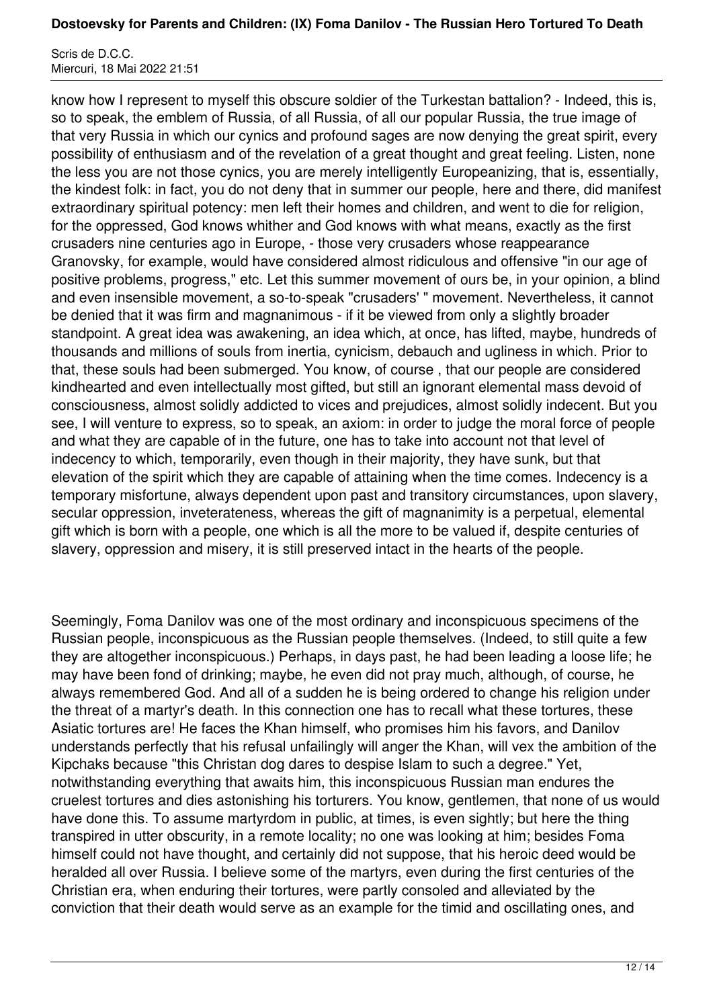Scris de D.C.C. Miercuri, 18 Mai 2022 21:51

know how I represent to myself this obscure soldier of the Turkestan battalion? - Indeed, this is, so to speak, the emblem of Russia, of all Russia, of all our popular Russia, the true image of that very Russia in which our cynics and profound sages are now denying the great spirit, every possibility of enthusiasm and of the revelation of a great thought and great feeling. Listen, none the less you are not those cynics, you are merely intelligently Europeanizing, that is, essentially, the kindest folk: in fact, you do not deny that in summer our people, here and there, did manifest extraordinary spiritual potency: men left their homes and children, and went to die for religion, for the oppressed, God knows whither and God knows with what means, exactly as the first crusaders nine centuries ago in Europe, - those very crusaders whose reappearance Granovsky, for example, would have considered almost ridiculous and offensive "in our age of positive problems, progress," etc. Let this summer movement of ours be, in your opinion, a blind and even insensible movement, a so-to-speak "crusaders' " movement. Nevertheless, it cannot be denied that it was firm and magnanimous - if it be viewed from only a slightly broader standpoint. A great idea was awakening, an idea which, at once, has lifted, maybe, hundreds of thousands and millions of souls from inertia, cynicism, debauch and ugliness in which. Prior to that, these souls had been submerged. You know, of course , that our people are considered kindhearted and even intellectually most gifted, but still an ignorant elemental mass devoid of consciousness, almost solidly addicted to vices and prejudices, almost solidly indecent. But you see, I will venture to express, so to speak, an axiom: in order to judge the moral force of people and what they are capable of in the future, one has to take into account not that level of indecency to which, temporarily, even though in their majority, they have sunk, but that elevation of the spirit which they are capable of attaining when the time comes. Indecency is a temporary misfortune, always dependent upon past and transitory circumstances, upon slavery, secular oppression, inveterateness, whereas the gift of magnanimity is a perpetual, elemental gift which is born with a people, one which is all the more to be valued if, despite centuries of slavery, oppression and misery, it is still preserved intact in the hearts of the people.

Seemingly, Foma Danilov was one of the most ordinary and inconspicuous specimens of the Russian people, inconspicuous as the Russian people themselves. (Indeed, to still quite a few they are altogether inconspicuous.) Perhaps, in days past, he had been leading a loose life; he may have been fond of drinking; maybe, he even did not pray much, although, of course, he always remembered God. And all of a sudden he is being ordered to change his religion under the threat of a martyr's death. In this connection one has to recall what these tortures, these Asiatic tortures are! He faces the Khan himself, who promises him his favors, and Danilov understands perfectly that his refusal unfailingly will anger the Khan, will vex the ambition of the Kipchaks because "this Christan dog dares to despise Islam to such a degree." Yet, notwithstanding everything that awaits him, this inconspicuous Russian man endures the cruelest tortures and dies astonishing his torturers. You know, gentlemen, that none of us would have done this. To assume martyrdom in public, at times, is even sightly; but here the thing transpired in utter obscurity, in a remote locality; no one was looking at him; besides Foma himself could not have thought, and certainly did not suppose, that his heroic deed would be heralded all over Russia. I believe some of the martyrs, even during the first centuries of the Christian era, when enduring their tortures, were partly consoled and alleviated by the conviction that their death would serve as an example for the timid and oscillating ones, and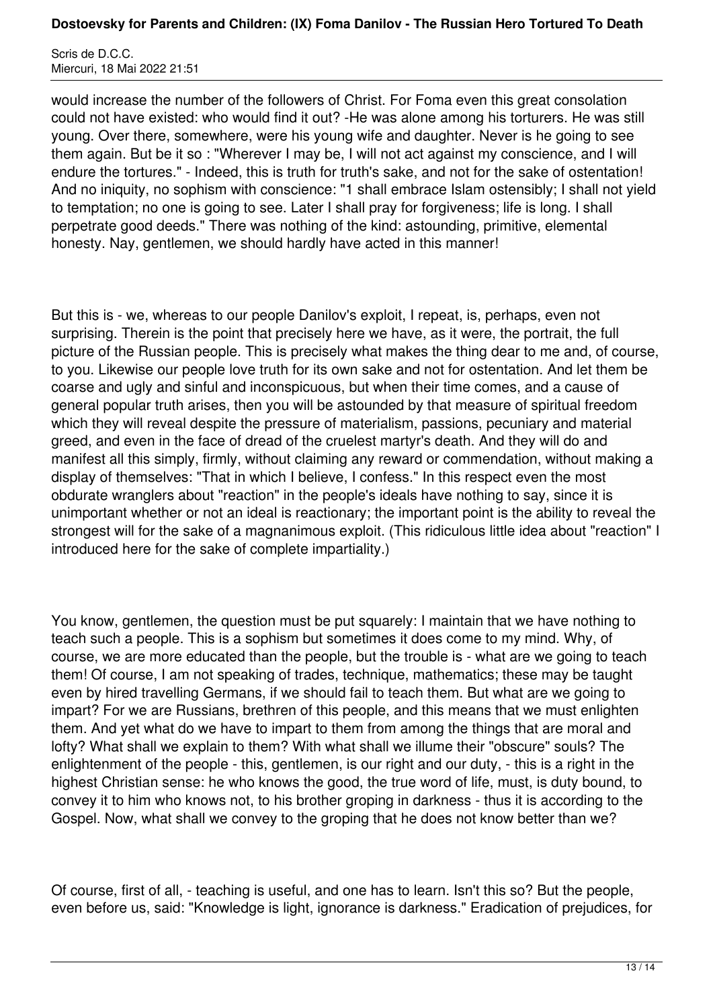Scris de D.C.C. Miercuri, 18 Mai 2022 21:51

would increase the number of the followers of Christ. For Foma even this great consolation could not have existed: who would find it out? -He was alone among his torturers. He was still young. Over there, somewhere, were his young wife and daughter. Never is he going to see them again. But be it so : "Wherever I may be, I will not act against my conscience, and I will endure the tortures." - Indeed, this is truth for truth's sake, and not for the sake of ostentation! And no iniquity, no sophism with conscience: "1 shall embrace Islam ostensibly; I shall not yield to temptation; no one is going to see. Later I shall pray for forgiveness; life is long. I shall perpetrate good deeds." There was nothing of the kind: astounding, primitive, elemental honesty. Nay, gentlemen, we should hardly have acted in this manner!

But this is - we, whereas to our people Danilov's exploit, I repeat, is, perhaps, even not surprising. Therein is the point that precisely here we have, as it were, the portrait, the full picture of the Russian people. This is precisely what makes the thing dear to me and, of course, to you. Likewise our people love truth for its own sake and not for ostentation. And let them be coarse and ugly and sinful and inconspicuous, but when their time comes, and a cause of general popular truth arises, then you will be astounded by that measure of spiritual freedom which they will reveal despite the pressure of materialism, passions, pecuniary and material greed, and even in the face of dread of the cruelest martyr's death. And they will do and manifest all this simply, firmly, without claiming any reward or commendation, without making a display of themselves: "That in which I believe, I confess." In this respect even the most obdurate wranglers about "reaction" in the people's ideals have nothing to say, since it is unimportant whether or not an ideal is reactionary; the important point is the ability to reveal the strongest will for the sake of a magnanimous exploit. (This ridiculous little idea about "reaction" I introduced here for the sake of complete impartiality.)

You know, gentlemen, the question must be put squarely: I maintain that we have nothing to teach such a people. This is a sophism but sometimes it does come to my mind. Why, of course, we are more educated than the people, but the trouble is - what are we going to teach them! Of course, I am not speaking of trades, technique, mathematics; these may be taught even by hired travelling Germans, if we should fail to teach them. But what are we going to impart? For we are Russians, brethren of this people, and this means that we must enlighten them. And yet what do we have to impart to them from among the things that are moral and lofty? What shall we explain to them? With what shall we illume their "obscure" souls? The enlightenment of the people - this, gentlemen, is our right and our duty, - this is a right in the highest Christian sense: he who knows the good, the true word of life, must, is duty bound, to convey it to him who knows not, to his brother groping in darkness - thus it is according to the Gospel. Now, what shall we convey to the groping that he does not know better than we?

Of course, first of all, - teaching is useful, and one has to learn. Isn't this so? But the people, even before us, said: "Knowledge is light, ignorance is darkness." Eradication of prejudices, for